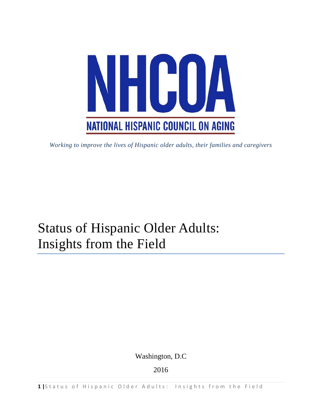<span id="page-0-0"></span>

*Working to improve the lives of Hispanic older adults, their families and caregivers*

# Status of Hispanic Older Adults: Insights from the Field

Washington, D.C

2016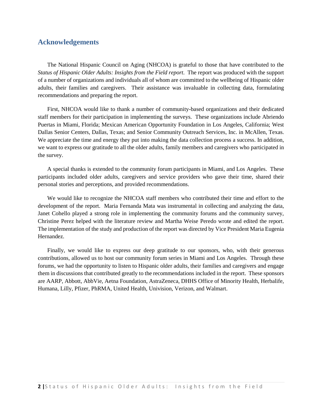## **Acknowledgements**

The National Hispanic Council on Aging (NHCOA) is grateful to those that have contributed to the *Status of Hispanic Older Adults: Insights from the Field report*. The report was produced with the support of a number of organizations and individuals all of whom are committed to the wellbeing of Hispanic older adults, their families and caregivers. Their assistance was invaluable in collecting data, formulating recommendations and preparing the report.

First, NHCOA would like to thank a number of community-based organizations and their dedicated staff members for their participation in implementing the surveys. These organizations include Abriendo Puertas in Miami, Florida; Mexican American Opportunity Foundation in Los Angeles, California; West Dallas Senior Centers, Dallas, Texas; and Senior Community Outreach Services, Inc. in McAllen, Texas. We appreciate the time and energy they put into making the data collection process a success. In addition, we want to express our gratitude to all the older adults, family members and caregivers who participated in the survey.

A special thanks is extended to the community forum participants in Miami, and Los Angeles. These participants included older adults, caregivers and service providers who gave their time, shared their personal stories and perceptions, and provided recommendations.

We would like to recognize the NHCOA staff members who contributed their time and effort to the development of the report. Maria Fernanda Mata was instrumental in collecting and analyzing the data, Janet Cohello played a strong role in implementing the community forums and the community survey, Christine Perez helped with the literature review and Martha Weise Peredo wrote and edited the report. The implementation of the study and production of the report was directed by Vice President Maria Eugenia Hernandez.

Finally, we would like to express our deep gratitude to our sponsors, who, with their generous contributions, allowed us to host our community forum series in Miami and Los Angeles. Through these forums, we had the opportunity to listen to Hispanic older adults, their families and caregivers and engage them in discussions that contributed greatly to the recommendations included in the report. These sponsors are AARP, Abbott, AbbVie, Aetna Foundation, AstraZeneca, DHHS Office of Minority Health, Herbalife, Humana, Lilly, Pfizer, PhRMA, United Health, Univision, Verizon, and Walmart.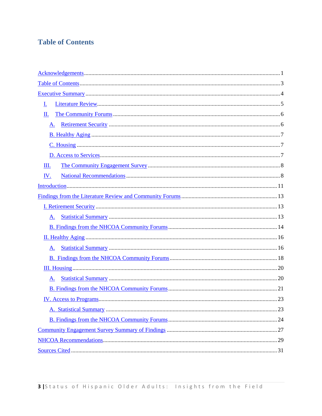## <span id="page-2-0"></span>**Table of Contents**

<span id="page-2-5"></span><span id="page-2-4"></span><span id="page-2-3"></span><span id="page-2-2"></span><span id="page-2-1"></span>

| <u>I.</u>  |  |
|------------|--|
| П.         |  |
| A.         |  |
|            |  |
|            |  |
|            |  |
| Ш.         |  |
| <u>IV.</u> |  |
|            |  |
|            |  |
|            |  |
| A.         |  |
|            |  |
|            |  |
| A.         |  |
|            |  |
|            |  |
| A.         |  |
|            |  |
|            |  |
|            |  |
|            |  |
|            |  |
|            |  |
|            |  |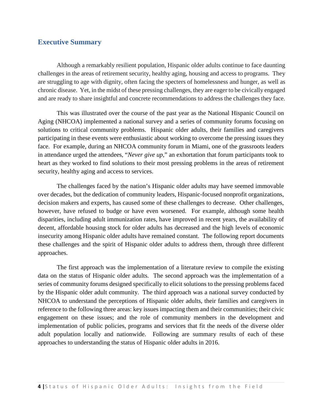## <span id="page-3-0"></span>**Executive Summary**

Although a remarkably resilient population, Hispanic older adults continue to face daunting challenges in the areas of retirement security, healthy aging, housing and access to programs. They are struggling to age with dignity, often facing the specters of homelessness and hunger, as well as chronic disease. Yet, in the midst of these pressing challenges, they are eager to be civically engaged and are ready to share insightful and concrete recommendations to address the challenges they face.

This was illustrated over the course of the past year as the National Hispanic Council on Aging (NHCOA) implemented a national survey and a series of community forums focusing on solutions to critical community problems. Hispanic older adults, their families and caregivers participating in these events were enthusiastic about working to overcome the pressing issues they face. For example, during an NHCOA community forum in Miami, one of the grassroots leaders in attendance urged the attendees, "*Never give up*," an exhortation that forum participants took to heart as they worked to find solutions to their most pressing problems in the areas of retirement security, healthy aging and access to services.

<span id="page-3-5"></span><span id="page-3-4"></span><span id="page-3-3"></span><span id="page-3-2"></span><span id="page-3-1"></span>The challenges faced by the nation's Hispanic older adults may have seemed immovable over decades, but the dedication of community leaders, Hispanic-focused nonprofit organizations, decision makers and experts, has caused some of these challenges to decrease. Other challenges, however, have refused to budge or have even worsened. For example, although some health disparities, including adult immunization rates, have improved in recent years, the availability of decent, affordable housing stock for older adults has decreased and the high levels of economic insecurity among Hispanic older adults have remained constant. The following report documents these challenges and the spirit of Hispanic older adults to address them, through three different approaches.

<span id="page-3-6"></span>The first approach was the implementation of a literature review to compile the existing data on the status of Hispanic older adults. The second approach was the implementation of a series of community forums designed specifically to elicit solutions to the pressing problems faced by the Hispanic older adult community. The third approach was a national survey conducted by NHCOA to understand the perceptions of Hispanic older adults, their families and caregivers in reference to the following three areas: key issues impacting them and their communities; their civic engagement on these issues; and the role of community members in the development and implementation of public policies, programs and services that fit the needs of the diverse older adult population locally and nationwide. Following are summary results of each of these approaches to understanding the status of Hispanic older adults in 2016.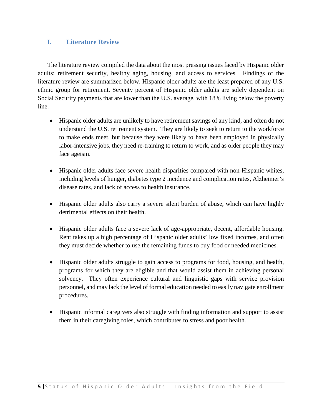## <span id="page-4-0"></span>**I. Literature Review**

<span id="page-4-10"></span><span id="page-4-9"></span><span id="page-4-8"></span><span id="page-4-7"></span>The literature review compiled the data about the most pressing issues faced by Hispanic older adults: retirement security, healthy aging, housing, and access to services. Findings of the literature review are summarized below. Hispanic older adults are the least prepared of any U.S. ethnic group for retirement. Seventy percent of Hispanic older adults are solely dependent on Social Security payments that are lower than the U.S. average, with 18% living below the poverty line.

- <span id="page-4-11"></span>• Hispanic older adults are unlikely to have retirement savings of any kind, and often do not understand the U.S. retirement system. They are likely to seek to return to the workforce to make ends meet, but because they were likely to have been employed in physically labor-intensive jobs, they need re-training to return to work, and as older people they may face ageism.
- Hispanic older adults face severe health disparities compared with non-Hispanic whites, including levels of hunger, diabetes type 2 incidence and complication rates, Alzheimer's disease rates, and lack of access to health insurance.
- Hispanic older adults also carry a severe silent burden of abuse, which can have highly detrimental effects on their health.
- Hispanic older adults face a severe lack of age-appropriate, decent, affordable housing. Rent takes up a high percentage of Hispanic older adults' low fixed incomes, and often they must decide whether to use the remaining funds to buy food or needed medicines.
- <span id="page-4-2"></span><span id="page-4-1"></span>• Hispanic older adults struggle to gain access to programs for food, housing, and health, programs for which they are eligible and that would assist them in achieving personal solvency. They often experience cultural and linguistic gaps with service provision personnel, and may lack the level of formal education needed to easily navigate enrollment procedures.
- <span id="page-4-6"></span><span id="page-4-5"></span><span id="page-4-4"></span><span id="page-4-3"></span>• Hispanic informal caregivers also struggle with finding information and support to assist them in their caregiving roles, which contributes to stress and poor health.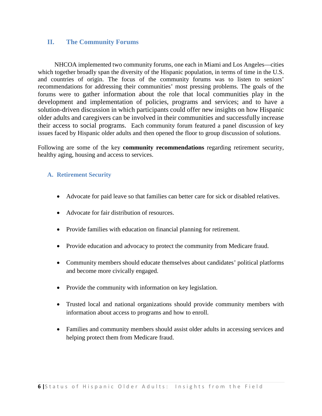## <span id="page-5-0"></span>**II. The Community Forums**

NHCOA implemented two community forums, one each in Miami and Los Angeles—cities which together broadly span the diversity of the Hispanic population, in terms of time in the U.S. and countries of origin. The focus of the community forums was to listen to seniors' recommendations for addressing their communities' most pressing problems. The goals of the forums were to gather information about the role that local communities play in the development and implementation of policies, programs and services; and to have a solution-driven discussion in which participants could offer new insights on how Hispanic older adults and caregivers can be involved in their communities and successfully increase their access to social programs. Each community forum featured a panel discussion of key issues faced by Hispanic older adults and then opened the floor to group discussion of solutions.

<span id="page-5-4"></span><span id="page-5-3"></span><span id="page-5-2"></span>Following are some of the key **community recommendations** regarding retirement security, healthy aging, housing and access to services.

#### <span id="page-5-1"></span>**A. Retirement Security**

- Advocate for paid leave so that families can better care for sick or disabled relatives.
- Advocate for fair distribution of resources.
- Provide families with education on financial planning for retirement.
- Provide education and advocacy to protect the community from Medicare fraud.
- Community members should educate themselves about candidates' political platforms and become more civically engaged.
- Provide the community with information on key legislation.
- Trusted local and national organizations should provide community members with information about access to programs and how to enroll.
- Families and community members should assist older adults in accessing services and helping protect them from Medicare fraud.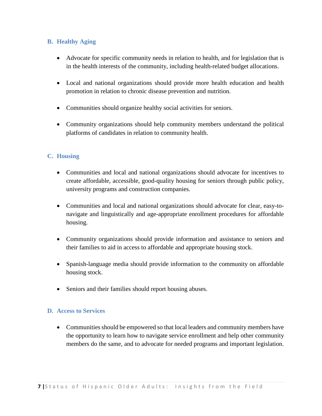## <span id="page-6-0"></span>**B. Healthy Aging**

- Advocate for specific community needs in relation to health, and for legislation that is in the health interests of the community, including health-related budget allocations.
- Local and national organizations should provide more health education and health promotion in relation to chronic disease prevention and nutrition.
- Communities should organize healthy social activities for seniors.
- Community organizations should help community members understand the political platforms of candidates in relation to community health.

## <span id="page-6-3"></span><span id="page-6-1"></span>**C. Housing**

- Communities and local and national organizations should advocate for incentives to create affordable, accessible, good-quality housing for seniors through public policy, university programs and construction companies.
- <span id="page-6-4"></span>• Communities and local and national organizations should advocate for clear, easy-tonavigate and linguistically and age-appropriate enrollment procedures for affordable housing.
- <span id="page-6-6"></span><span id="page-6-5"></span>• Community organizations should provide information and assistance to seniors and their families to aid in access to affordable and appropriate housing stock.
- <span id="page-6-8"></span><span id="page-6-7"></span>• Spanish-language media should provide information to the community on affordable housing stock.
- Seniors and their families should report housing abuses.

## <span id="page-6-2"></span>**D. Access to Services**

• Communities should be empowered so that local leaders and community members have the opportunity to learn how to navigate service enrollment and help other community members do the same, and to advocate for needed programs and important legislation.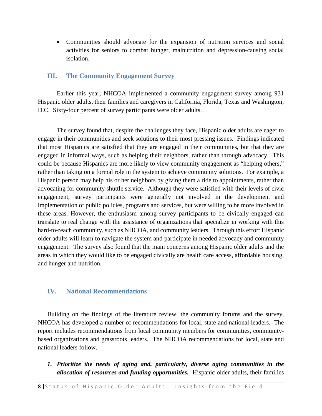• Communities should advocate for the expansion of nutrition services and social activities for seniors to combat hunger, malnutrition and depression-causing social isolation.

#### <span id="page-7-0"></span>**III. The Community Engagement Survey**

Earlier this year, NHCOA implemented a community engagement survey among 931 Hispanic older adults, their families and caregivers in California, Florida, Texas and Washington, D.C. Sixty-four percent of survey participants were older adults.

The survey found that, despite the challenges they face, Hispanic older adults are eager to engage in their communities and seek solutions to their most pressing issues. Findings indicated that most Hispanics are satisfied that they are engaged in their communities, but that they are engaged in informal ways, such as helping their neighbors, rather than through advocacy. This could be because Hispanics are more likely to view community engagement as "helping others," rather than taking on a formal role in the system to achieve community solutions. For example, a Hispanic person may help his or her neighbors by giving them a ride to appointments, rather than advocating for community shuttle service. Although they were satisfied with their levels of civic engagement, survey participants were generally not involved in the development and implementation of public policies, programs and services, but were willing to be more involved in these areas. However, the enthusiasm among survey participants to be civically engaged can translate to real change with the assistance of organizations that specialize in working with this hard-to-reach community, such as NHCOA, and community leaders. Through this effort Hispanic older adults will learn to navigate the system and participate in needed advocacy and community engagement. The survey also found that the main concerns among Hispanic older adults and the areas in which they would like to be engaged civically are health care access, affordable housing, and hunger and nutrition.

#### <span id="page-7-1"></span>**IV. National Recommendations**

<span id="page-7-4"></span><span id="page-7-3"></span><span id="page-7-2"></span>Building on the findings of the literature review, the community forums and the survey, NHCOA has developed a number of recommendations for local, state and national leaders. The report includes recommendations from local community members for communities, communitybased organizations and grassroots leaders. The NHCOA recommendations for local, state and national leaders follow.

*1. Prioritize the needs of aging and, particularly, diverse aging communities in the allocation of resources and funding opportunities.* Hispanic older adults, their families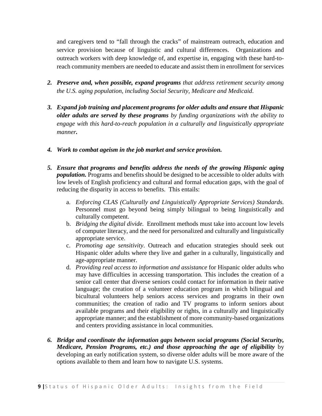<span id="page-8-1"></span>and caregivers tend to "fall through the cracks" of mainstream outreach, education and service provision because of linguistic and cultural differences. Organizations and outreach workers with deep knowledge of, and expertise in, engaging with these hard-toreach community members are needed to educate and assist them in enrollment for services

- <span id="page-8-4"></span><span id="page-8-3"></span><span id="page-8-2"></span>*2. Preserve and, when possible, expand programs that address retirement security among the U.S. aging population, including Social Security, Medicare and Medicaid*.
- *3. Expand job training and placement programs for older adults and ensure that Hispanic older adults are served by these programs by funding organizations with the ability to engage with this hard-to-reach population in a culturally and linguistically appropriate manner.*
- *4. Work to combat ageism in the job market and service provision.*
- *5. Ensure that programs and benefits address the needs of the growing Hispanic aging population.* Programs and benefits should be designed to be accessible to older adults with low levels of English proficiency and cultural and formal education gaps, with the goal of reducing the disparity in access to benefits. This entails:
	- a. *Enforcing CLAS (Culturally and Linguistically Appropriate Services) Standards.* Personnel must go beyond being simply bilingual to being linguistically and culturally competent.
	- b. *Bridging the digital divide.* Enrollment methods must take into account low levels of computer literacy, and the need for personalized and culturally and linguistically appropriate service.
	- c. *Promoting age sensitivity*. Outreach and education strategies should seek out Hispanic older adults where they live and gather in a culturally, linguistically and age-appropriate manner.
	- d. *Providing real access to information and assistance* for Hispanic older adults who may have difficulties in accessing transportation. This includes the creation of a senior call center that diverse seniors could contact for information in their native language; the creation of a volunteer education program in which bilingual and bicultural volunteers help seniors access services and programs in their own communities; the creation of radio and TV programs to inform seniors about available programs and their eligibility or rights, in a culturally and linguistically appropriate manner; and the establishment of more community-based organizations and centers providing assistance in local communities.
- <span id="page-8-0"></span>*6. Bridge and coordinate the information gaps between social programs (Social Security, Medicare, Pension Programs, etc.) and those approaching the age of eligibility* by developing an early notification system, so diverse older adults will be more aware of the options available to them and learn how to navigate U.S. systems.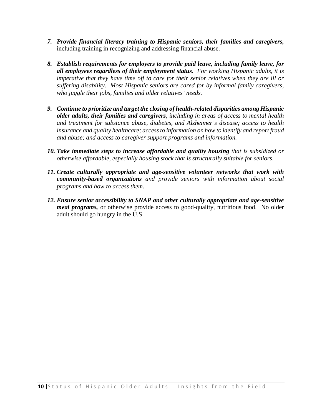- *7. Provide financial literacy training to Hispanic seniors, their families and caregivers,*  including training in recognizing and addressing financial abuse.
- *8. Establish requirements for employers to provide paid leave, including family leave, for all employees regardless of their employment status. For working Hispanic adults, it is imperative that they have time off to care for their senior relatives when they are ill or suffering disability. Most Hispanic seniors are cared for by informal family caregivers, who juggle their jobs, families and older relatives' needs.*
- *9. Continue to prioritize and target the closing of health-related disparities among Hispanic older adults, their families and caregivers, including in areas of access to mental health and treatment for substance abuse, diabetes, and Alzheimer's disease; access to health insurance and quality healthcare; access to information on how to identify and report fraud and abuse; and access to caregiver support programs and information.*
- <span id="page-9-1"></span><span id="page-9-0"></span>*10. Take immediate steps to increase affordable and quality housing that is subsidized or otherwise affordable, especially housing stock that is structurally suitable for seniors*.
- <span id="page-9-2"></span>*11. Create culturally appropriate and age-sensitive volunteer networks that work with community-based organizations and provide seniors with information about social programs and how to access them.*
- *12. Ensure senior accessibility to SNAP and other culturally appropriate and age-sensitive meal programs*, or otherwise provide access to good-quality, nutritious food. No older adult should go hungry in the U.S.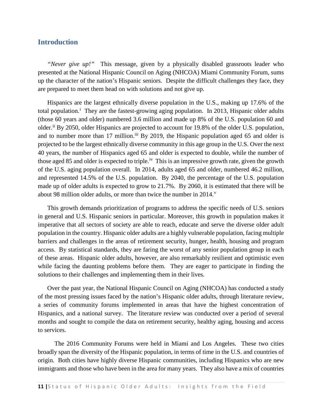## <span id="page-10-0"></span>**Introduction**

*"Never give up!"* This message, given by a physically disabled grassroots leader who presented at the National Hispanic Council on Aging (NHCOA) Miami Community Forum, sums up the character of the nation's Hispanic seniors. Despite the difficult challenges they face, they are prepared to meet them head on with solutions and not give up.

Hispanics are the largest ethnically diverse population in the U.S., making up 17.6% of the total populat[i](#page-2-1)on.<sup>i</sup> They are the fastest-growing aging population. In 2013, Hispanic older adults (those 60 years and older) numbered 3.6 million and made up 8% of the U.S. population 60 and older.<sup>[ii](#page-2-2)</sup> By 2050, older Hispanics are projected to account for 19.8% of the older U.S. population, and to number more than 17 million.<sup>[iii](#page-2-3)</sup> By 2019, the Hispanic population aged 65 and older is projected to be the largest ethnically diverse community in this age group in the U.S. Over the next 40 years, the number of Hispanics aged 65 and older is expected to double, while the number of those aged 85 and older is expected to triple.<sup>iv</sup> This is an impressive growth rate, given the growth of the U.S. aging population overall. In 2014, adults aged 65 and older, numbered 46.2 million, and represented 14.5% of the U.S. population. By 2040, the percentage of the U.S. population made up of older adults is expected to grow to 21.7%. By 2060, it is estimated that there will be about 98 million older adults, or more than twice the number in  $2014$ .

This growth demands prioritization of programs to address the specific needs of U.S. seniors in general and U.S. Hispanic seniors in particular. Moreover, this growth in population makes it imperative that all sectors of society are able to reach, educate and serve the diverse older adult population in the country. Hispanic older adults are a highly vulnerable population, facing multiple barriers and challenges in the areas of retirement security, hunger, health, housing and program access. By statistical standards, they are faring the worst of any senior population group in each of these areas. Hispanic older adults, however, are also remarkably resilient and optimistic even while facing the daunting problems before them. They are eager to participate in finding the solutions to their challenges and implementing them in their lives.

Over the past year, the National Hispanic Council on Aging (NHCOA) has conducted a study of the most pressing issues faced by the nation's Hispanic older adults, through literature review, a series of community forums implemented in areas that have the highest concentration of Hispanics, and a national survey. The literature review was conducted over a period of several months and sought to compile the data on retirement security, healthy aging, housing and access to services.

The 2016 Community Forums were held in Miami and Los Angeles. These two cities broadly span the diversity of the Hispanic population, in terms of time in the U.S. and countries of origin. Both cities have highly diverse Hispanic communities, including Hispanics who are new immigrants and those who have been in the area for many years. They also have a mix of countries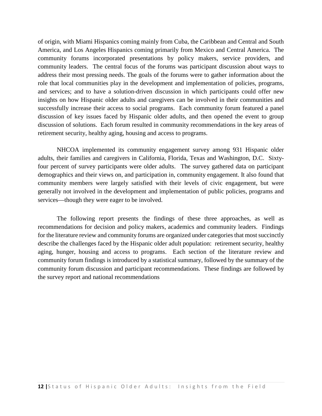of origin, with Miami Hispanics coming mainly from Cuba, the Caribbean and Central and South America, and Los Angeles Hispanics coming primarily from Mexico and Central America. The community forums incorporated presentations by policy makers, service providers, and community leaders. The central focus of the forums was participant discussion about ways to address their most pressing needs. The goals of the forums were to gather information about the role that local communities play in the development and implementation of policies, programs, and services; and to have a solution-driven discussion in which participants could offer new insights on how Hispanic older adults and caregivers can be involved in their communities and successfully increase their access to social programs. Each community forum featured a panel discussion of key issues faced by Hispanic older adults, and then opened the event to group discussion of solutions. Each forum resulted in community recommendations in the key areas of retirement security, healthy aging, housing and access to programs.

NHCOA implemented its community engagement survey among 931 Hispanic older adults, their families and caregivers in California, Florida, Texas and Washington, D.C. Sixtyfour percent of survey participants were older adults.The survey gathered data on participant demographics and their views on, and participation in, community engagement. It also found that community members were largely satisfied with their levels of civic engagement, but were generally not involved in the development and implementation of public policies, programs and services—though they were eager to be involved.

The following report presents the findings of these three approaches, as well as recommendations for decision and policy makers, academics and community leaders. Findings for the literature review and community forums are organized under categories that most succinctly describe the challenges faced by the Hispanic older adult population: retirement security, healthy aging, hunger, housing and access to programs. Each section of the literature review and community forum findings is introduced by a statistical summary, followed by the summary of the community forum discussion and participant recommendations. These findings are followed by the survey report and national recommendations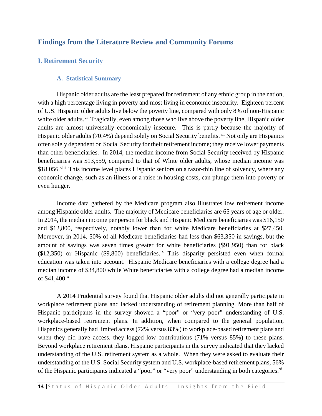## <span id="page-12-0"></span>**Findings from the Literature Review and Community Forums**

## <span id="page-12-2"></span><span id="page-12-1"></span>**I. Retirement Security**

#### **A. Statistical Summary**

Hispanic older adults are the least prepared for retirement of any ethnic group in the nation, with a high percentage living in poverty and most living in economic insecurity. Eighteen percent of U.S. Hispanic older adults live below the poverty line, compared with only 8% of non-Hispanic white older adults.<sup>vi</sup> Tragically, even among those who live above the poverty line, Hispanic older adults are almost universally economically insecure. This is partly because the majority of Hispanic older adults (70.4%) depend solely on Social Security benefits.<sup>[vii](#page-3-2)</sup> Not only are Hispanics often solely dependent on Social Security for their retirement income; they receive lower payments than other beneficiaries. In 2014, the median income from Social Security received by Hispanic beneficiaries was \$13,559, compared to that of White older adults, whose median income was \$18,056<sup>[viii](#page-3-3)</sup> This income level places Hispanic seniors on a razor-thin line of solvency, where any economic change, such as an illness or a raise in housing costs, can plunge them into poverty or even hunger.

Income data gathered by the Medicare program also illustrates low retirement income among Hispanic older adults. The majority of Medicare beneficiaries are 65 years of age or older. In 2014, the median income per person for black and Hispanic Medicare beneficiaries was \$16,150 and \$12,800, respectively, notably lower than for white Medicare beneficiaries at \$27,450. Moreover, in 2014, 50% of all Medicare beneficiaries had less than \$63,350 in savings, but the amount of savings was seven times greater for white beneficiaries (\$91,950) than for black  $(\$12,350)$  or Hispanic  $(\$9,800)$  beneficiaries.<sup>[ix](#page-3-4)</sup> This disparity persisted even when formal education was taken into account. Hispanic Medicare beneficiaries with a college degree had a median income of \$34,800 while White beneficiaries with a college degree had a median income of  $$41,400$ .

A 2014 Prudential survey found that Hispanic older adults did not generally participate in workplace retirement plans and lacked understanding of retirement planning. More than half of Hispanic participants in the survey showed a "poor" or "very poor" understanding of U.S. workplace-based retirement plans. In addition, when compared to the general population, Hispanics generally had limited access (72% versus 83%) to workplace-based retirement plans and when they did have access, they logged low contributions (71% versus 85%) to these plans. Beyond workplace retirement plans, Hispanic participants in the survey indicated that they lacked understanding of the U.S. retirement system as a whole. When they were asked to evaluate their understanding of the U.S. Social Security system and U.S. workplace-based retirement plans, 56% of the Hispanic participants indicated a "poor" or "very poor" understanding in both categories.<sup>[xi](#page-3-6)</sup>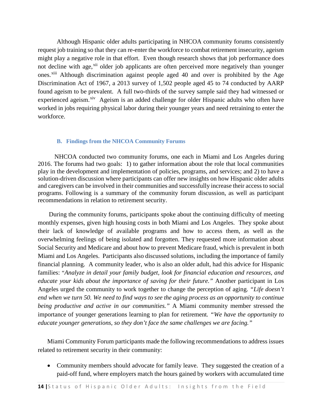Although Hispanic older adults participating in NHCOA community forums consistently request job training so that they can re-enter the workforce to combat retirement insecurity, ageism might play a negative role in that effort. Even though research shows that job performance does not decline with age,<sup>[xii](#page-4-1)</sup> older job applicants are often perceived more negatively than younger ones.<sup>[xiii](#page-4-2)</sup> Although discrimination against people aged 40 and over is prohibited by the Age Discrimination Act of 1967, a 2013 survey of 1,502 people aged 45 to 74 conducted by AARP found ageism to be prevalent. A full two-thirds of the survey sample said they had witnessed or experienced ageism.<sup>[xiv](#page-4-3)</sup> Ageism is an added challenge for older Hispanic adults who often have worked in jobs requiring physical labor during their younger years and need retraining to enter the workforce.

#### **B. Findings from the NHCOA Community Forums**

<span id="page-13-0"></span>NHCOA conducted two community forums, one each in Miami and Los Angeles during 2016. The forums had two goals: 1) to gather information about the role that local communities play in the development and implementation of policies, programs, and services; and 2) to have a solution-driven discussion where participants can offer new insights on how Hispanic older adults and caregivers can be involved in their communities and successfully increase their access to social programs. Following is a summary of the community forum discussion, as well as participant recommendations in relation to retirement security.

During the community forums, participants spoke about the continuing difficulty of meeting monthly expenses, given high housing costs in both Miami and Los Angeles. They spoke about their lack of knowledge of available programs and how to access them, as well as the overwhelming feelings of being isolated and forgotten. They requested more information about Social Security and Medicare and about how to prevent Medicare fraud, which is prevalent in both Miami and Los Angeles. Participants also discussed solutions, including the importance of family financial planning. A community leader, who is also an older adult, had this advice for Hispanic families: "*Analyze in detail your family budget, look for financial education and resources, and educate your kids about the importance of saving for their future."* Another participant in Los Angeles urged the community to work together to change the perception of aging. *"Life doesn't end when we turn 50. We need to find ways to see the aging process as an opportunity to continue being productive and active in our communities."* A Miami community member stressed the importance of younger generations learning to plan for retirement*. "We have the opportunity to educate younger generations, so they don't face the same challenges we are facing."*

Miami Community Forum participants made the following recommendations to address issues related to retirement security in their community:

• Community members should advocate for family leave. They suggested the creation of a paid-off fund, where employers match the hours gained by workers with accumulated time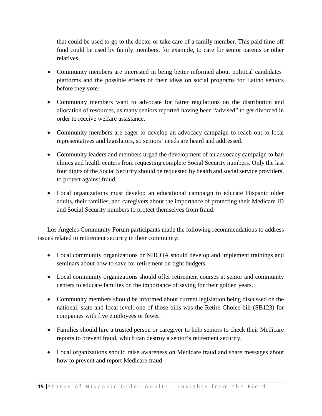that could be used to go to the doctor or take care of a family member. This paid time off fund could be used by family members, for example, to care for senior parents or other relatives.

- Community members are interested in being better informed about political candidates' platforms and the possible effects of their ideas on social programs for Latino seniors before they vote.
- Community members want to advocate for fairer regulations on the distribution and allocation of resources, as many seniors reported having been "advised" to get divorced in order to receive welfare assistance.
- Community members are eager to develop an advocacy campaign to reach out to local representatives and legislators, so seniors' needs are heard and addressed.
- Community leaders and members urged the development of an advocacy campaign to ban clinics and health centers from requesting complete Social Security numbers. Only the last four digits of the Social Security should be requested by health and social service providers, to protect against fraud.
- Local organizations must develop an educational campaign to educate Hispanic older adults, their families, and caregivers about the importance of protecting their Medicare ID and Social Security numbers to protect themselves from fraud.

Los Angeles Community Forum participants made the following recommendations to address issues related to retirement security in their community:

- Local community organizations or NHCOA should develop and implement trainings and seminars about how to save for retirement on tight budgets.
- Local community organizations should offer retirement courses at senior and community centers to educate families on the importance of saving for their golden years.
- Community members should be informed about current legislation being discussed on the national, state and local level; one of those bills was the Retire Choice bill (SB123) for companies with five employees or fewer.
- Families should hire a trusted person or caregiver to help seniors to check their Medicare reports to prevent fraud, which can destroy a senior's retirement security.
- Local organizations should raise awareness on Medicare fraud and share messages about how to prevent and report Medicare fraud.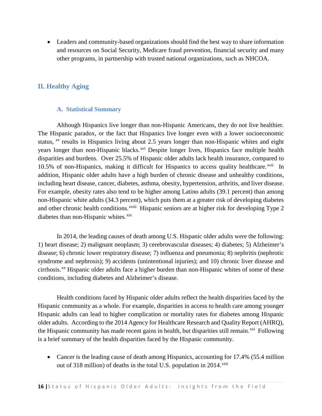• Leaders and community-based organizations should find the best way to share information and resources on Social Security, Medicare fraud prevention, financial security and many other programs, in partnership with trusted national organizations, such as NHCOA.

## <span id="page-15-0"></span>**II. Healthy Aging**

#### **A. Statistical Summary**

<span id="page-15-1"></span>Although Hispanics live longer than non-Hispanic Americans, they do not live healthier. The Hispanic paradox, or the fact that Hispanics live longer even with a lower socioeconomic status, <sup>[xv](#page-4-4)</sup> results in Hispanics living about 2.5 years longer than non-Hispanic whites and eight andother chronic health conditions. XVIII Hispanic seniors are at higher risk for developing Type 2 years longer than non-Hispanic blacks.<sup>[xvi](#page-4-5)</sup> Despite longer lives, Hispanics face multiple health disparities and burdens. Over 25.5% of Hispanic older adults lack health insurance, compared to 10.5% of non-Hispanics, making it difficult for Hispanics to access quality healthcare.<sup>[xvii](#page-4-6)</sup> In addition, Hispanic older adults have a high burden of chronic disease and unhealthy conditions, including heart disease, cancer, diabetes, asthma, obesity, hypertension, arthritis, and liver disease. For example, obesity rates also tend to be higher among Latino adults (39.1 percent) than among non-Hispanic white adults (34.3 percent), which puts them at a greater risk of developing diabetes diabetes than non-Hispanic whites.<sup>[xix](#page-4-8)</sup>

In 2014, the leading causes of death among U.S. Hispanic older adults were the following: 1) heart disease; 2) malignant neoplasm; 3) cerebrovascular diseases; 4) diabetes; 5) Alzheimer's disease; 6) chronic lower respiratory disease; 7) influenza and pneumonia; 8) nephritis (nephrotic syndrome and nephrosis); 9) accidents (unintentional injuries); and 10) chronic liver disease and cirrhosis.<sup>[xx](#page-4-9)</sup> Hispanic older adults face a higher burden than non-Hispanic whites of some of these conditions, including diabetes and Alzheimer's disease.

Health conditions faced by Hispanic older adults reflect the health disparities faced by the Hispanic community as a whole. For example, disparities in access to health care among younger Hispanic adults can lead to higher complication or mortality rates for diabetes among Hispanic older adults. According to the 2014 Agency for Healthcare Research and Quality Report (AHRQ), the Hispanic community has made recent gains in health, but disparities still remain.<sup>[xxi](#page-4-10)</sup> Following is a brief summary of the health disparities faced by the Hispanic community.

• Cancer is the leading cause of death among Hispanics, accounting for 17.4% (55.4 million out of 318 million) of deaths in the total U.S. population in 2014.<sup>[xxii](#page-4-11)</sup>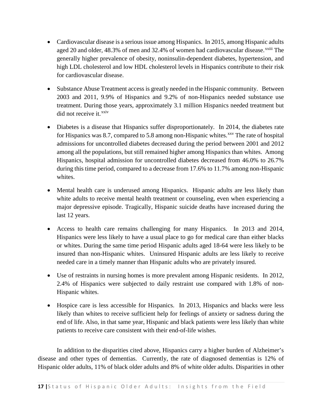- Cardiovascular disease is a serious issue among Hispanics. In 2015, among Hispanic adults aged 20 and older,  $48.3\%$  of men and  $32.4\%$  of women had cardiovascular disease.<sup> $xxiii$ </sup> [T](#page-5-2)he generally higher prevalence of obesity, noninsulin-dependent diabetes, hypertension, and high LDL cholesterol and low HDL cholesterol levels in Hispanics contribute to their risk for cardiovascular disease.
- Substance Abuse Treatment access is greatly needed in the Hispanic community. Between 2003 and 2011, 9.9% of Hispanics and 9.2% of non-Hispanics needed substance use treatment. During those years, approximately 3.1 million Hispanics needed treatment but  $\text{did not receive it.}^{\text{xxiv}}$  $\text{did not receive it.}^{\text{xxiv}}$  $\text{did not receive it.}^{\text{xxiv}}$
- Diabetes is a disease that Hispanics suffer disproportionately. In 2014, the diabetes rate for Hispanics was 8.7, compared to 5.8 among non-Hispanic whites.<sup> $xxv$ </sup> The rate of hospital admissions for uncontrolled diabetes decreased during the period between 2001 and 2012 among all the populations, but still remained higher among Hispanics than whites. Among Hispanics, hospital admission for uncontrolled diabetes decreased from 46.0% to 26.7% during this time period, compared to a decrease from 17.6% to 11.7% among non-Hispanic whites.
- Mental health care is underused among Hispanics. Hispanic adults are less likely than white adults to receive mental health treatment or counseling, even when experiencing a major depressive episode. Tragically, Hispanic suicide deaths have increased during the last 12 years.
- Access to health care remains challenging for many Hispanics. In 2013 and 2014, Hispanics were less likely to have a usual place to go for medical care than either blacks or whites. During the same time period Hispanic adults aged 18-64 were less likely to be insured than non-Hispanic whites. Uninsured Hispanic adults are less likely to receive needed care in a timely manner than Hispanic adults who are privately insured.
- Use of restraints in nursing homes is more prevalent among Hispanic residents. In 2012, 2.4% of Hispanics were subjected to daily restraint use compared with 1.8% of non-Hispanic whites.
- Hospice care is less accessible for Hispanics. In 2013, Hispanics and blacks were less likely than whites to receive sufficient help for feelings of anxiety or sadness during the end of life. Also, in that same year, Hispanic and black patients were less likely than white patients to receive care consistent with their end-of-life wishes.

In addition to the disparities cited above, Hispanics carry a higher burden of Alzheimer's disease and other types of dementias. Currently, the rate of diagnosed dementias is 12% of Hispanic older adults, 11% of black older adults and 8% of white older adults. Disparities in other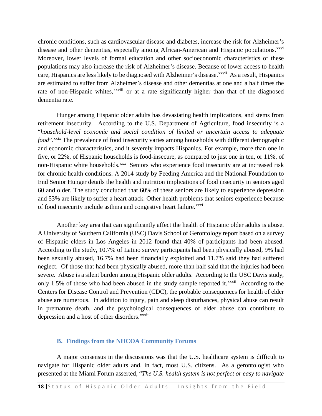chronic conditions, such as cardiovascular disease and diabetes, increase the risk for Alzheimer's disease and other dementias, especially among African-American and Hispanic populations.<sup>[xxvi](#page-6-3)</sup> care, Hispanics are less likely to be diagnosed with [A](#page-6-4)lzheimer's disease.<sup>xxvii</sup> As a result, Hispanics rate of non-Hispanic whites,<sup>xxviii</sup> or at a rate significantly higher than that of the diagnosed Moreover, lower levels of formal education and other socioeconomic characteristics of these populations may also increase the risk of Alzheimer's disease. Because of lower access to health are estimated to suffer from Alzheimer's disease and other dementias at one and a half times the dementia rate.

Hunger among Hispanic older adults has devastating health implications, and stems from retirement insecurity. According to the U.S. Department of Agriculture, food insecurity is a "*household-level economic and social condition of limited or uncertain access to adequate food*".<sup>[xxix](#page-6-5)</sup> The prevalence of food insecurity varies among households with different demographic and economic characteristics, and it severely impacts Hispanics. For example, more than one in five, or 22%, of Hispanic households is food-insecure, as compared to just one in ten, or 11%, of non-Hispanic white households.<sup>[xxx](#page-6-6)</sup> Seniors who experience food insecurity are at increased risk for chronic health conditions. A 2014 study by Feeding America and the [National Foundation to](http://www.nfesh.org/)  [End Senior Hunger](http://www.nfesh.org/) details the health and nutrition implications of food insecurity in seniors aged 60 and older. The study concluded that 60% of these seniors are likely to experience depression and 53% are likely to suffer a heart attack. Other health problems that seniors experience because of food insecurity include asthma and congestive heart failure.<sup>[xxxi](#page-6-7)</sup>

Another key area that can significantly affect the health of Hispanic older adults is abuse. A University of Southern California (USC) Davis School of Gerontology report based on a survey of Hispanic elders in Los Angeles in 2012 found that 40% of participants had been abused. According to the study, 10.7% of Latino survey participants had been physically abused, 9% had been sexually abused, 16.7% had been financially exploited and 11.7% said they had suffered neglect. Of those that had been physically abused, more than half said that the injuries had been severe. Abuse is a silent burden among Hispanic older adults. According to the USC Davis study, only1.5% of those who had been abused in the study sample reported it.<sup>xxxii</sup> According to the depression and a host of other disorders. XXXiii Centers for Disease Control and Prevention (CDC), the probable consequences for health of elder abuse are numerous. In addition to injury, pain and sleep disturbances, physical abuse can result in premature death, and the psychological consequences of elder abuse can contribute to

#### **B. Findings from the NHCOA Community Forums**

<span id="page-17-0"></span>A major consensus in the discussions was that the U.S. healthcare system is difficult to navigate for Hispanic older adults and, in fact, most U.S. citizens. As a gerontologist who presented at the Miami Forum asserted, "*The U.S. health system is not perfect or easy to navigate*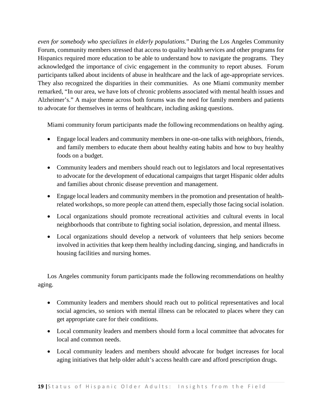*even for somebody who specializes in elderly populations.*" During the Los Angeles Community Forum, community members stressed that access to quality health services and other programs for Hispanics required more education to be able to understand how to navigate the programs. They acknowledged the importance of civic engagement in the community to report abuses. Forum participants talked about incidents of abuse in healthcare and the lack of age-appropriate services. They also recognized the disparities in their communities. As one Miami community member remarked, "In our area, we have lots of chronic problems associated with mental health issues and Alzheimer's." A major theme across both forums was the need for family members and patients to advocate for themselves in terms of healthcare, including asking questions.

Miami community forum participants made the following recommendations on healthy aging.

- Engage local leaders and community members in one-on-one talks with neighbors, friends, and family members to educate them about healthy eating habits and how to buy healthy foods on a budget.
- Community leaders and members should reach out to legislators and local representatives to advocate for the development of educational campaigns that target Hispanic older adults and families about chronic disease prevention and management.
- Engage local leaders and community members in the promotion and presentation of healthrelated workshops, so more people can attend them, especially those facing social isolation.
- Local organizations should promote recreational activities and cultural events in local neighborhoods that contribute to fighting social isolation, depression, and mental illness.
- Local organizations should develop a network of volunteers that help seniors become involved in activities that keep them healthy including dancing, singing, and handicrafts in housing facilities and nursing homes.

Los Angeles community forum participants made the following recommendations on healthy aging.

- Community leaders and members should reach out to political representatives and local social agencies, so seniors with mental illness can be relocated to places where they can get appropriate care for their conditions.
- Local community leaders and members should form a local committee that advocates for local and common needs.
- Local community leaders and members should advocate for budget increases for local aging initiatives that help older adult's access health care and afford prescription drugs.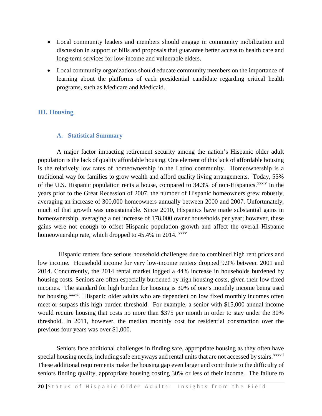- Local community leaders and members should engage in community mobilization and discussion in support of bills and proposals that guarantee better access to health care and long-term services for low-income and vulnerable elders.
- Local community organizations should educate community members on the importance of learning about the platforms of each presidential candidate regarding critical health programs, such as Medicare and Medicaid.

## <span id="page-19-0"></span>**III. Housing**

#### <span id="page-19-1"></span>**A. Statistical Summary**

A major factor impacting retirement security among the nation's Hispanic older adult population is the lack of quality affordable housing. One element of this lack of affordable housing is the relatively low rates of homeownership in the Latino community. Homeownership is a traditional way for families to grow wealth and afford quality living arrangements. Today, 55% of the U.S. Hispanic population rents a house, compared to 34.3% of non-Hispanics.<sup>xxxi[v](#page-7-2)</sup> In the years prior to the Great Recession of 2007, the number of Hispanic homeowners grew robustly, averaging an increase of 300,000 homeowners annually between 2000 and 2007. Unfortunately, much of that growth was unsustainable. Since 2010, Hispanics have made substantial gains in homeownership, averaging a net increase of 178,000 owner households per year; however, these gains were not enough to offset Hispanic population growth and affect the overall Hispanic homeownership rate, which dropped to  $45.4\%$  in 2014.  $\frac{xxxx}{}$ 

Hispanic renters face serious household challenges due to combined high rent prices and low income. Household income for very low-income renters dropped 9.9% between 2001 and 2014. Concurrently, the 2014 rental market logged a 44% increase in households burdened by housing costs. Seniors are often especially burdened by high housing costs, given their low fixed incomes. The standard for high burden for housing is 30% of one's monthly income being used for housing.<sup>xxxvi</sup>. Hispanic older adults who are dependent on low fixed monthly incomes often meet or surpass this high burden threshold. For example, a senior with \$15,000 annual income would require housing that costs no more than \$375 per month in order to stay unde[r](#page-7-4) the 30% threshold. In 2011, however, the median monthly cost for residential construction over the previous four years was over \$1,000.

Seniors face additional challenges in finding safe, appropriate housing as they often have special housing needs, including safe entryways and rental units that are not accessed by stairs.<sup>xxxvii</sup> These additional requirements make the housing gap even larger and contribute to the difficulty of seniors finding quality, appropriate housing costing 30% or less of their income. The failure to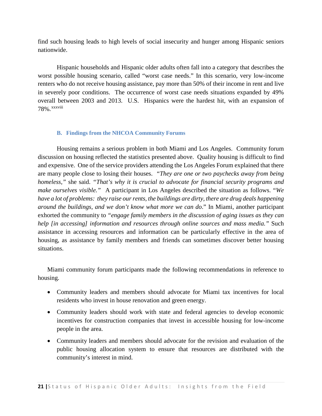find such housing leads to high levels of social insecurity and hunger among Hispanic seniors nationwide.

Hispanic households and Hispanic older adults often fall into a category that describes the worst possible housing scenario, called "worst case needs." In this scenario, very low-income renters who do not receive housing assistance, pay more than 50% of their income in rent and live in severely poor conditions. The occurrence of worst case needs situations expanded by 49% overall between 2003 and 2013. U.S. Hispanics were the hardest hit, with an expansion of 78%.xxxvii[i](#page-8-0)

#### **B. Findings from the NHCOA Community Forums**

<span id="page-20-0"></span>Housing remains a serious problem in both Miami and Los Angeles. Community forum discussion on housing reflected the statistics presented above. Quality housing is difficult to find and expensive. One of the service providers attending the Los Angeles Forum explained that there are many people close to losing their houses. *"They are one or two paychecks away from being homeless,"* she said. *"That's why it is crucial to advocate for financial security programs and make ourselves visible."* A participant in Los Angeles described the situation as follows. "*We have a lot of problems: they raise our rents, the buildings are dirty, there are drug deals happening around the buildings, and we don't know what more we can do*." In Miami, another participant exhorted the community to *"engage family members in the discussion of aging issues as they can help [in accessing] information and resources through online sources and mass media.*" Such assistance in accessing resources and information can be particularly effective in the area of housing, as assistance by family members and friends can sometimes discover better housing situations.

Miami community forum participants made the following recommendations in reference to housing.

- Community leaders and members should advocate for Miami tax incentives for local residents who invest in house renovation and green energy.
- Community leaders should work with state and federal agencies to develop economic incentives for construction companies that invest in accessible housing for low-income people in the area.
- Community leaders and members should advocate for the revision and evaluation of the public housing allocation system to ensure that resources are distributed with the community's interest in mind.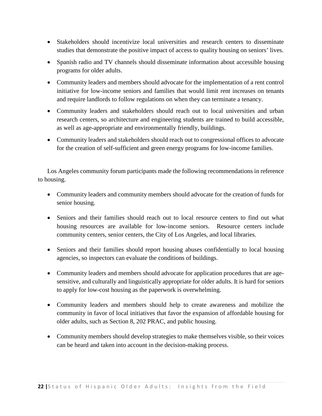- Stakeholders should incentivize local universities and research centers to disseminate studies that demonstrate the positive impact of access to quality housing on seniors' lives.
- Spanish radio and TV channels should disseminate information about accessible housing programs for older adults.
- Community leaders and members should advocate for the implementation of a rent control initiative for low-income seniors and families that would limit rent increases on tenants and require landlords to follow regulations on when they can terminate a tenancy.
- Community leaders and stakeholders should reach out to local universities and urban research centers, so architecture and engineering students are trained to build accessible, as well as age-appropriate and environmentally friendly, buildings.
- Community leaders and stakeholders should reach out to congressional offices to advocate for the creation of self-sufficient and green energy programs for low-income families.

Los Angeles community forum participants made the following recommendations in reference to housing.

- Community leaders and community members should advocate for the creation of funds for senior housing.
- Seniors and their families should reach out to local resource centers to find out what housing resources are available for low-income seniors. Resource centers include community centers, senior centers, the City of Los Angeles, and local libraries.
- Seniors and their families should report housing abuses confidentially to local housing agencies, so inspectors can evaluate the conditions of buildings.
- Community leaders and members should advocate for application procedures that are agesensitive, and culturally and linguistically appropriate for older adults. It is hard for seniors to apply for low-cost housing as the paperwork is overwhelming.
- Community leaders and members should help to create awareness and mobilize the community in favor of local initiatives that favor the expansion of affordable housing for older adults, such as Section 8, 202 PRAC, and public housing.
- Community members should develop strategies to make themselves visible, so their voices can be heard and taken into account in the decision-making process.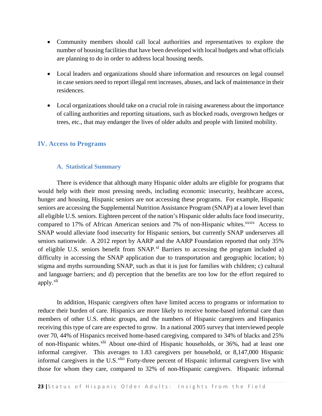- Community members should call local authorities and representatives to explore the number of housing facilities that have been developed with local budgets and what officials are planning to do in order to address local housing needs.
- Local leaders and organizations should share information and resources on legal counsel in case seniors need to report illegal rent increases, abuses, and lack of maintenance in their residences.
- Local organizations should take on a crucial role in raising awareness about the importance of calling authorities and reporting situations, such as blocked roads, overgrown hedges or trees, etc., that may endanger the lives of older adults and people with limited mobility.

## <span id="page-22-0"></span>**IV. Access to Programs**

#### **A. Statistical Summary**

<span id="page-22-1"></span>There is evidence that although many Hispanic older adults are eligible for programs that would help with their most pressing needs, including economic insecurity, healthcare access, hunger and housing, Hispanic seniors are not accessing these programs. For example, Hispanic seniors are accessing the Supplemental Nutrition Assistance Program (SNAP) at a lower level than all eligible U.S. seniors. Eighteen percent of the nation's Hispanic older adults face food insecurity, compared to 17% of African American seniors and 7% of non-Hispanic whites.<sup>xxxix</sup> Access to SNAP would alleviate food insecurity for Hispanic seniors, but currently SNAP underserves all seniors nationwide. A 2012 report by AARP and the AARP Foundation reported that only 35% of eligible U.S. seniors benefit from SNAP*.* [xl](#page-8-2) Barriers to accessing the program included a) difficulty in accessing the SNAP application due to transportation and geographic location; b) stigma and myths surrounding SNAP, such as that it is just for families with children; c) cultural and language barriers; and d) perception that the benefits are too low for the effort required to apply.<sup>[xli](#page-8-3)</sup>

In addition, Hispanic caregivers often have limited access to programs or information to reduce their burden of care. Hispanics are more likely to receive home-based informal care than members of other U.S. ethnic groups, and the numbers of Hispanic caregivers and Hispanics receiving this type of care are expected to grow. In a national 2005 survey that interviewed people over 70, 44% of Hispanics received home-based caregiving, compared to 34% of blacks and 25% of non-Hispanic whites.<sup>[xlii](#page-8-4)</sup> About one-third of Hispanic households, or 36%, had at least one informal caregivers in the U.S.<sup>xliii</sup> Forty-three percent of Hispanic informal caregivers live with informal caregiver. This averages to 1.83 caregivers per household, or 8,147,000 Hispanic those for whom they care, compared to 32% of non-Hispanic caregivers. Hispanic informal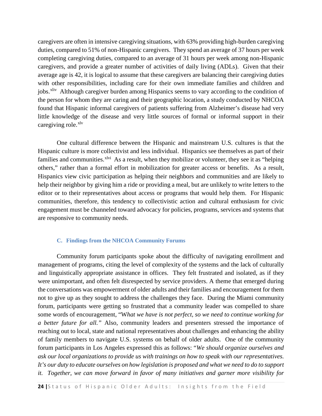caregivers are often in intensive caregiving situations, with 63% providing high-burden caregiving duties, compared to 51% of non-Hispanic caregivers. They spend an average of 37 hours per week completing caregiving duties, compared to an average of 31 hours per week among non-Hispanic caregivers, and provide a greater number of activities of daily living (ADLs). Given that their average age is 42, it is logical to assume that these caregivers are balancing their caregiving duties with other responsibilities, including care for their own immediate families and children and jobs.<sup>xliv</sup> Although caregiver burden among Hispanics seems to vary according to the condition of the person for whom they are caring and their geographic location, a study conducted by NHCOA found that Hispanic informal caregivers of patients suffering from Alzheimer's disease had very little knowledge of the disease and very little sources of formal or informal support in their caregiving role.<sup>[xlv](#page-9-1)</sup>

One cultural difference between the Hispanic and mainstream U.S. cultures is that the Hispanic culture is more collectivist and less individual. Hispanics see themselves as part of their families and communities. $x^{\text{1vi}}$  As a result, when they mobilize or volunteer, they see it as "helping" others," rather than a formal effort in mobilization for greater access or benefits. As a result, Hispanics view civic participation as helping their neighbors and communities and are likely to help their neighbor by giving him a ride or providing a meal, but are unlikely to write letters to the editor or to their representatives about access or programs that would help them. For Hispanic communities, therefore, this tendency to collectivistic action and cultural enthusiasm for civic engagement must be channeled toward advocacy for policies, programs, services and systems that are responsive to community needs.

#### **C. Findings from the NHCOA Community Forums**

<span id="page-23-0"></span>Community forum participants spoke about the difficulty of navigating enrollment and management of programs, citing the level of complexity of the systems and the lack of culturally and linguistically appropriate assistance in offices. They felt frustrated and isolated, as if they were unimportant, and often felt disrespected by service providers. A theme that emerged during the conversations was empowerment of older adults and their families and encouragement for them not to give up as they sought to address the challenges they face. During the Miami community forum, participants were getting so frustrated that a community leader was compelled to share some words of encouragement, "W*hat we have is not perfect, so we need to continue working for a better future for all."* Also, community leaders and presenters stressed the importance of reaching out to local, state and national representatives about challenges and enhancing the ability of family members to navigate U.S. systems on behalf of older adults. One of the community forum participants in Los Angeles expressed this as follows: "*We should organize ourselves and ask our local organizations to provide us with trainings on how to speak with our representatives. It's our duty to educate ourselves on how legislation is proposed and what we need to do to support it. Together, we can move forward in favor of many initiatives and garner more visibility for*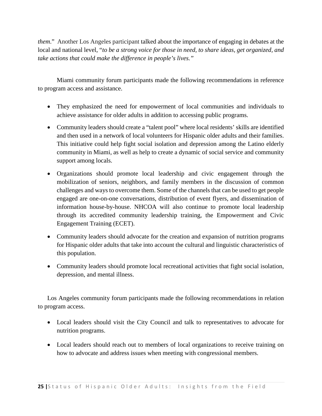*them*." Another Los Angeles participant talked about the importance of engaging in debates at the local and national level, "*to be a strong voice for those in need, to share ideas, get organized, and take actions that could make the difference in people's lives."* 

Miami community forum participants made the following recommendations in reference to program access and assistance.

- They emphasized the need for empowerment of local communities and individuals to achieve assistance for older adults in addition to accessing public programs.
- Community leaders should create a "talent pool" where local residents' skills are identified and then used in a network of local volunteers for Hispanic older adults and their families. This initiative could help fight social isolation and depression among the Latino elderly community in Miami, as well as help to create a dynamic of social service and community support among locals.
- Organizations should promote local leadership and civic engagement through the mobilization of seniors, neighbors, and family members in the discussion of common challenges and ways to overcome them. Some of the channels that can be used to get people engaged are one-on-one conversations, distribution of event flyers, and dissemination of information house-by-house. NHCOA will also continue to promote local leadership through its accredited community leadership training, the Empowerment and Civic Engagement Training (ECET).
- Community leaders should advocate for the creation and expansion of nutrition programs for Hispanic older adults that take into account the cultural and linguistic characteristics of this population.
- Community leaders should promote local recreational activities that fight social isolation, depression, and mental illness.

Los Angeles community forum participants made the following recommendations in relation to program access.

- Local leaders should visit the City Council and talk to representatives to advocate for nutrition programs.
- Local leaders should reach out to members of local organizations to receive training on how to advocate and address issues when meeting with congressional members.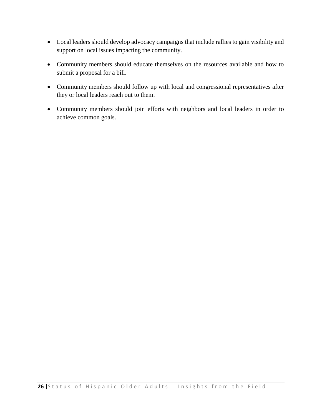- Local leaders should develop advocacy campaigns that include rallies to gain visibility and support on local issues impacting the community.
- Community members should educate themselves on the resources available and how to submit a proposal for a bill.
- Community members should follow up with local and congressional representatives after they or local leaders reach out to them.
- Community members should join efforts with neighbors and local leaders in order to achieve common goals.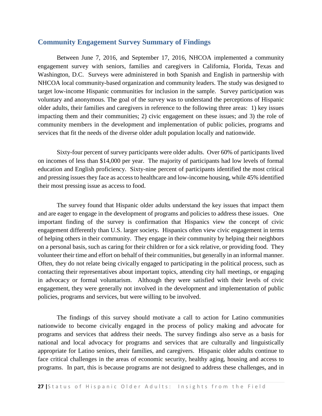## <span id="page-26-0"></span>**Community Engagement Survey Summary of Findings**

Between June 7, 2016, and September 17, 2016, NHCOA implemented a community engagement survey with seniors, families and caregivers in California, Florida, Texas and Washington, D.C. Surveys were administered in both Spanish and English in partnership with NHCOA local community-based organization and community leaders. The study was designed to target low-income Hispanic communities for inclusion in the sample. Survey participation was voluntary and anonymous. The goal of the survey was to understand the perceptions of Hispanic older adults, their families and caregivers in reference to the following three areas: 1) key issues impacting them and their communities; 2) civic engagement on these issues; and 3) the role of community members in the development and implementation of public policies, programs and services that fit the needs of the diverse older adult population locally and nationwide.

Sixty-four percent of survey participants were older adults. Over 60% of participants lived on incomes of less than \$14,000 per year. The majority of participants had low levels of formal education and English proficiency. Sixty-nine percent of participants identified the most critical and pressing issues they face as access to healthcare and low-income housing, while 45% identified their most pressing issue as access to food.

The survey found that Hispanic older adults understand the key issues that impact them and are eager to engage in the development of programs and policies to address these issues. One important finding of the survey is confirmation that Hispanics view the concept of civic engagement differently than U.S. larger society*.* Hispanics often view civic engagement in terms of helping others in their community. They engage in their community by helping their neighbors on a personal basis, such as caring for their children or for a sick relative, or providing food. They volunteer their time and effort on behalf of their communities, but generally in an informal manner. Often, they do not relate being civically engaged to participating in the political process, such as contacting their representatives about important topics, attending city hall meetings, or engaging in advocacy or formal voluntarism. Although they were satisfied with their levels of civic engagement, they were generally not involved in the development and implementation of public policies, programs and services, but were willing to be involved.

The findings of this survey should motivate a call to action for Latino communities nationwide to become civically engaged in the process of policy making and advocate for programs and services that address their needs. The survey findings also serve as a basis for national and local advocacy for programs and services that are culturally and linguistically appropriate for Latino seniors, their families, and caregivers. Hispanic older adults continue to face critical challenges in the areas of economic security, healthy aging, housing and access to programs. In part, this is because programs are not designed to address these challenges, and in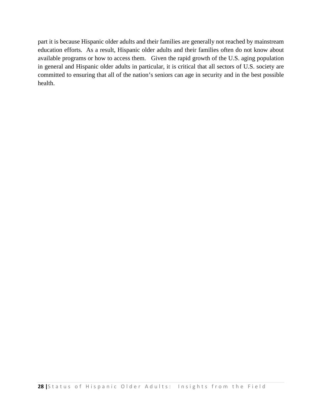part it is because Hispanic older adults and their families are generally not reached by mainstream education efforts. As a result, Hispanic older adults and their families often do not know about available programs or how to access them. Given the rapid growth of the U.S. aging population in general and Hispanic older adults in particular, it is critical that all sectors of U.S. society are committed to ensuring that all of the nation's seniors can age in security and in the best possible health.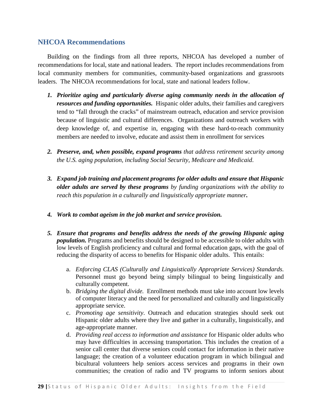## <span id="page-28-0"></span>**NHCOA Recommendations**

Building on the findings from all three reports, NHCOA has developed a number of recommendations for local, state and national leaders. The report includes recommendations from local community members for communities, community-based organizations and grassroots leaders. The NHCOA recommendations for local, state and national leaders follow.

- *1. Prioritize aging and particularly diverse aging community needs in the allocation of resources and funding opportunities.* Hispanic older adults, their families and caregivers tend to "fall through the cracks" of mainstream outreach, education and service provision because of linguistic and cultural differences. Organizations and outreach workers with deep knowledge of, and expertise in, engaging with these hard-to-reach community members are needed to involve, educate and assist them in enrollment for services
- *2. Preserve, and, when possible, expand programs that address retirement security among the U.S. aging population, including Social Security, Medicare and Medicaid*.
- *3. Expand job training and placement programs for older adults and ensure that Hispanic older adults are served by these programs by funding organizations with the ability to reach this population in a culturally and linguistically appropriate manner.*
- *4. Work to combat ageism in the job market and service provision.*
- *5. Ensure that programs and benefits address the needs of the growing Hispanic aging population.* Programs and benefits should be designed to be accessible to older adults with low levels of English proficiency and cultural and formal education gaps, with the goal of reducing the disparity of access to benefits for Hispanic older adults. This entails:
	- a. *Enforcing CLAS (Culturally and Linguistically Appropriate Services) Standards.* Personnel must go beyond being simply bilingual to being linguistically and culturally competent.
	- b. *Bridging the digital divide.* Enrollment methods must take into account low levels of computer literacy and the need for personalized and culturally and linguistically appropriate service.
	- c. *Promoting age sensitivity*. Outreach and education strategies should seek out Hispanic older adults where they live and gather in a culturally, linguistically, and age-appropriate manner.
	- d. *Providing real access to information and assistance* for Hispanic older adults who may have difficulties in accessing transportation. This includes the creation of a senior call center that diverse seniors could contact for information in their native language; the creation of a volunteer education program in which bilingual and bicultural volunteers help seniors access services and programs in their own communities; the creation of radio and TV programs to inform seniors about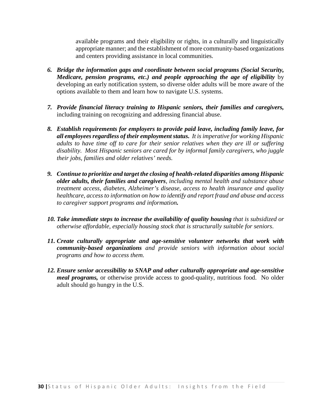available programs and their eligibility or rights, in a culturally and linguistically appropriate manner; and the establishment of more community-based organizations and centers providing assistance in local communities.

- *6. Bridge the information gaps and coordinate between social programs (Social Security, Medicare, pension programs, etc.) and people approaching the age of eligibility* by developing an early notification system, so diverse older adults will be more aware of the options available to them and learn how to navigate U.S. systems.
- *7. Provide financial literacy training to Hispanic seniors, their families and caregivers,*  including training on recognizing and addressing financial abuse.
- *8. Establish requirements for employers to provide paid leave, including family leave, for all employees regardless of their employment status. It is imperative for working Hispanic adults to have time off to care for their senior relatives when they are ill or suffering disability. Most Hispanic seniors are cared for by informal family caregivers, who juggle their jobs, families and older relatives' needs.*
- *9. Continue to prioritize and target the closing of health-related disparities among Hispanic older adults, their families and caregivers, including mental health and substance abuse treatment access, diabetes, Alzheimer's disease, access to health insurance and quality healthcare, access to information on how to identify and report fraud and abuse and access to caregiver support programs and information.*
- *10. Take immediate steps to increase the availability of quality housing that is subsidized or otherwise affordable, especially housing stock that is structurally suitable for seniors*.
- *11. Create culturally appropriate and age-sensitive volunteer networks that work with community-based organizations and provide seniors with information about social programs and how to access them.*
- *12. Ensure senior accessibility to SNAP and other culturally appropriate and age-sensitive meal programs*, or otherwise provide access to good-quality, nutritious food. No older adult should go hungry in the U.S.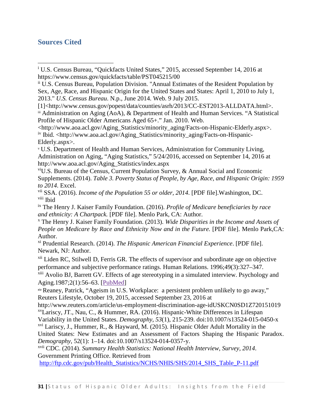## <span id="page-30-0"></span>**Sources Cited**

 $\overline{\phantom{a}}$ 

 $\ddot{m}$  Administration on Aging (AoA), & Department of Health and Human Services. "A Statistical Profile of Hispanic Older Americans Aged 65+." Jan. 2010. Web.

<http://www.aoa.acl.gov/Aging\_Statistics/minority\_aging/Facts-on-Hispanic-Elderly.aspx>. iv Ibid. <http://www.aoa.acl.gov/Aging\_Statistics/minority\_aging/Facts-on-Hispanic-Elderly.aspx>.

<sup>v</sup> U.S. Department of Health and Human Services, Administration for Community Living, Administration on Aging, "Aging Statistics," 5/24/2016, accessed on September 14, 2016 at http://www.aoa.acl.gov/Aging\_Statistics/index.aspx

viU.S. Bureau of the Census, Current Population Survey, & Annual Social and Economic Supplements. (2014). *Table 3. Poverty Status of People, by Age, Race, and Hispanic Origin: 1959 to 2014*. Excel.

vii SSA. (2016). *Income of the Population 55 or older, 2014*. [PDF file].Washington, DC. viii Ibid

ix The Henry J. Kaiser Family Foundation. (2016). *Profile of Medicare beneficiaries by race* 

<sup>*x*</sup> The Henry J. Kaiser Family Foundation. (2013). *Wide Disparities in the Income and Assets of People on Medicare by Race and Ethnicity Now and in the Future.* [PDF file]. Menlo Park,CA: Author.

xi Prudential Research. (2014). *The Hispanic American Financial Experience*. [PDF file]. Newark, NJ: Author.

<sup>xii</sup> Liden RC, Stilwell D, Ferris GR. The effects of supervisor and subordinate age on objective performance and subjective performance ratings. Human Relations. 1996;49(3):327–347.

xiii Avolio BJ, Barrett GV. Effects of age stereotyping in a simulated interview. Psychology and Aging.1987;2(1):56–63. [\[PubMed\]](http://www.ncbi.nlm.nih.gov/pubmed/3268193)

xiv Reaney, Patrick, "Ageism in U.S. Workplace: a persistent problem unlikely to go away," Reuters Lifestyle, October 19, 2015, accessed September 23, 2016 at

http://www.reuters.com/article/us-employment-discrimination-age-idUSKCN0SD1Z720151019 xvLariscy, JT., Nau, C., & Hummer, RA. (2016). Hispanic-White Differences in Lifespan

Variability in the United States. *Demography*, *53*(1), 215-239. doi:10.1007/s13524-015-0450-x

 $xvi$  Lariscy, J., Hummer, R., & Hayward, M. (2015). Hispanic Older Adult Mortality in the United States: New Estimates and an Assessment of Factors Shaping the Hispanic Paradox. *Demography*, 52(1): 1–14. doi:10.1007/s13524-014-0357-y.

xvii CDC. (2014). *Summary Health Statistics: National Health Interview, Survey, 2014*. Government Printing Office. Retrieved from

[http://ftp.cdc.gov/pub/Health\\_Statistics/NCHS/NHIS/SHS/2014\\_SHS\\_Table\\_P-11.pdf](http://ftp.cdc.gov/pub/Health_Statistics/NCHS/NHIS/SHS/2014_SHS_Table_P-11.pdf)

<sup>i</sup> U.S. Census Bureau, "Quickfacts United States," 2015, accessed September 14, 2016 at https://www.census.gov/quickfacts/table/PST045215/00

ii U.S. Census Bureau, Population Division. "Annual Estimates of the Resident Population by Sex, Age, Race, and Hispanic Origin for the United States and States: April 1, 2010 to July 1, 2013." *U.S. Census Bureau.* N.p., June 2014. Web. 9 July 2015.<br>[1]<http://www.census.gov/popest/data/counties/asrh/2013/CC-EST2013-ALLDATA.html>.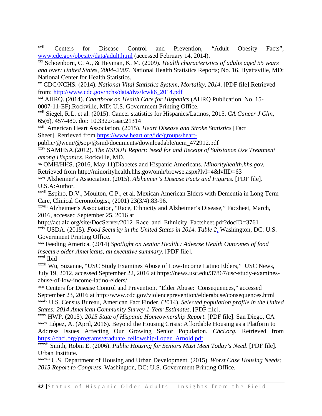xviii Centers for Disease Control and Prevention, "Adult Obesity Facts", www.cdc.gov/obesity/data/adult.html (accessed February 14, 2014). xix Schoenborn, C. A., & Heyman, K. M. (2009). *Health characteristics of adults aged 55 years* 

*and over: United States, 2004–2007*. National Health Statistics Reports; No. 16. Hyattsville, MD: National Center for Health Statistics.

xx CDC/NCHS. (2014). *National Vital Statistics System, Mortality, 2014*. [PDF file].Retrieved from: [http://www.cdc.gov/nchs/data/dvs/lcwk6\\_2014.pdf](http://www.cdc.gov/nchs/data/dvs/lcwk6_2014.pdf)

xxi AHRQ. (2014). *Chartbook on Health Care for Hispanics* (AHRQ Publication No. 15- 0007-11-EF).Rockville, MD: U.S. Government Printing Office.

xxii Siegel, R.L. et al. (2015). Cancer statistics for Hispanics/Latinos, 2015. *CA Cancer J Clin,*

l

65(6), 457-480. doi: 10.3322/caac.21314

xxiii American Heart Association. (2015). *Heart Disease and Stroke Statistics* [Fact Sheet]. Retrieved from<https://www.heart.org/idc/groups/heart->

public/@wcm/@sop/@smd/documents/downloadable/ucm\_472912.pdf

xxiv SAMHSA.(2012). *The NSDUH Report: Need for and Receipt of Substance Use Treatment among Hispanics*. Rockville, MD.

xxv OMH/HHS. (2016, May 11)Diabetes and Hispanic Americans. *Minorityhealth.hhs.gov.* Retrieved from http://minorityhealth.hhs.gov/omh/browse.aspx?lvl=4&lvlID=63

xxvi Alzheimer's Association. (2015). *Alzheimer's Disease Facts and Figures*. [PDF file]. U.S.A:Author.

<sup>xxvii</sup> Espino, D.V., Moulton, C.P., et al. Mexican American Elders with Dementia in Long Term Care, Clinical Gerontologist, (2001) 23(3/4):83-96.

xxviii Alzheimer's Association, "Race, Ethnicity and Alzheimer's Disease," Facsheet, March, 2016, accessed September 25, 2016 at

http://act.alz.org/site/DocServer/2012\_Race\_and\_Ethnicity\_Factsheet.pdf?docID=3761 xxix USDA. (2015). *[Food Security in the United States in 2014. Table 2.](http://www.ers.usda.gov/publications/err-economic-research-report/err194.aspx)* Washington, DC: U.S. Government Printing Office.

xxx Feeding America. (2014) *Spotlight on Senior Health.: Adverse Health Outcomes of food insecure older Americans, an executive summary*. [PDF file]. xxxi Ibid

xxxii Wu, Suzanne, "USC Study Examines Abuse of Low-Income Latino Elders," USC News, July 19, 2012, accessed September 22, 2016 at https://news.usc.edu/37867/usc-study-examinesabuse-of-low-income-latino-elders/

xxxiii Centers for Disease Control and Prevention, "Elder Abuse: Consequences," accessed September 23, 2016 at http://www.cdc.gov/violenceprevention/elderabuse/consequences.html xxxiv U.S. Census Bureau, American Fact Finder. (2014). *Selected population profile in the United* 

xxxv HWP. (2015). *2015 State of Hispanic Homeownership Report*. [PDF file]. San Diego, CA xxxvi López, A. (April, 2016). Beyond the Housing Crisis: Affordable Housing as a Platform to Address Issues Affecting Our Growing Senior Population. *Chci.org.* Retrieved from [https://chci.org/programs/graduate\\_fellowship/Lopez\\_Arnold.pdf](https://chci.org/programs/graduate_fellowship/Lopez_Arnold.pdf)

xxxvii Smith, Robin E. (2006). *Public Housing for Seniors Must Meet Today's Need*. [PDF file]. Urban Institute.

xxxviii U.S. Department of Housing and Urban Development. (2015). *Worst Case Housing Needs: 2015 Report to Congress*. Washington, DC: U.S. Government Printing Office.

*States: 2014 American Community Survey 1-Year Estimates*. [PDF file].